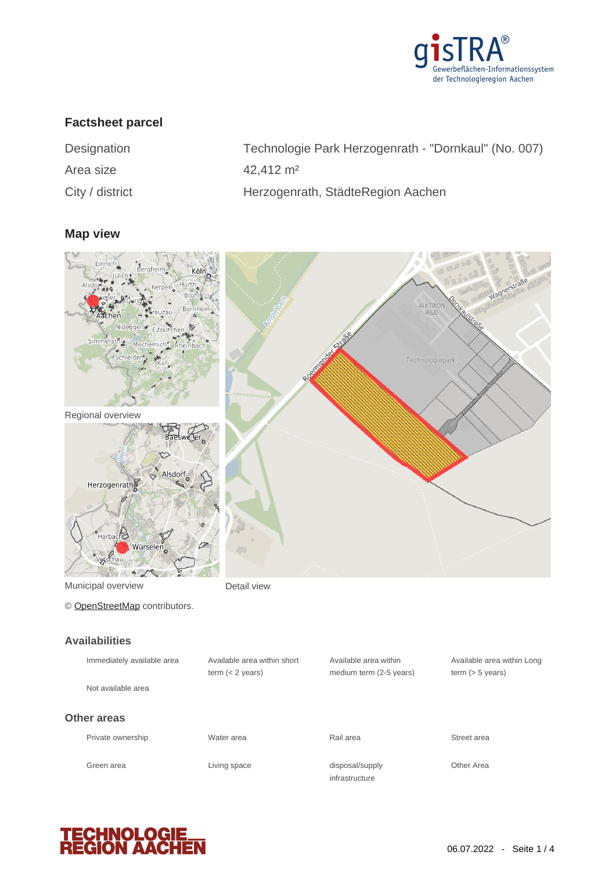

## **Factsheet parcel**

| Designation        |
|--------------------|
| Area size          |
| $C$ ity / dietrict |

Technologie Park Herzogenrath - "Dornkaul" (No. 007) 42,412 m<sup>2</sup> City / district **Herzogenrath, StädteRegion Aachen** 

### **Map view**



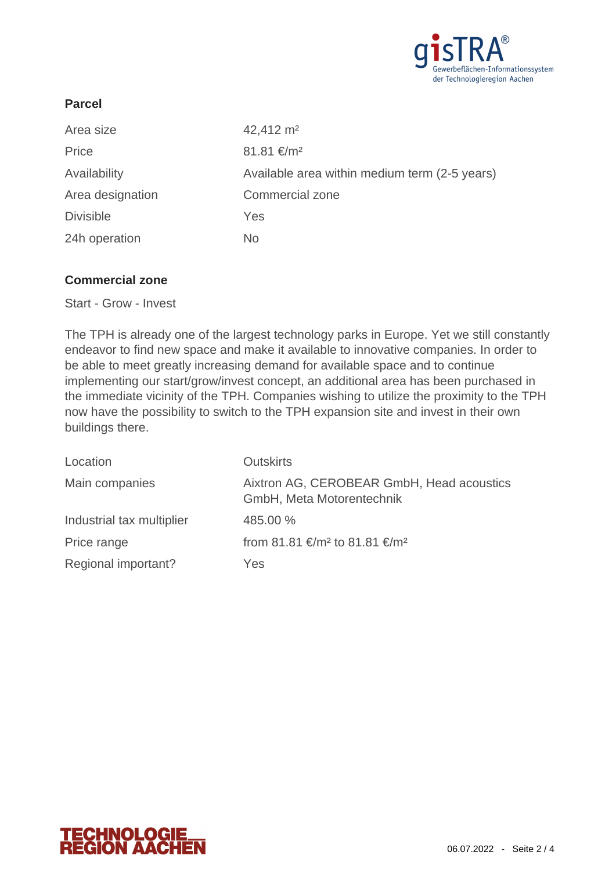

# **Parcel**

| Area size        | 42,412 m <sup>2</sup>                         |
|------------------|-----------------------------------------------|
| Price            | $81.81 \text{€/m}^2$                          |
| Availability     | Available area within medium term (2-5 years) |
| Area designation | <b>Commercial zone</b>                        |
| <b>Divisible</b> | Yes                                           |
| 24h operation    | No                                            |

## **Commercial zone**

Start - Grow - Invest

The TPH is already one of the largest technology parks in Europe. Yet we still constantly endeavor to find new space and make it available to innovative companies. In order to be able to meet greatly increasing demand for available space and to continue implementing our start/grow/invest concept, an additional area has been purchased in the immediate vicinity of the TPH. Companies wishing to utilize the proximity to the TPH now have the possibility to switch to the TPH expansion site and invest in their own buildings there.

| Location                  | <b>Outskirts</b>                                                       |
|---------------------------|------------------------------------------------------------------------|
| Main companies            | Aixtron AG, CEROBEAR GmbH, Head acoustics<br>GmbH, Meta Motorentechnik |
| Industrial tax multiplier | 485.00 %                                                               |
| Price range               | from 81.81 €/m <sup>2</sup> to 81.81 €/m <sup>2</sup>                  |
| Regional important?       | Yes                                                                    |

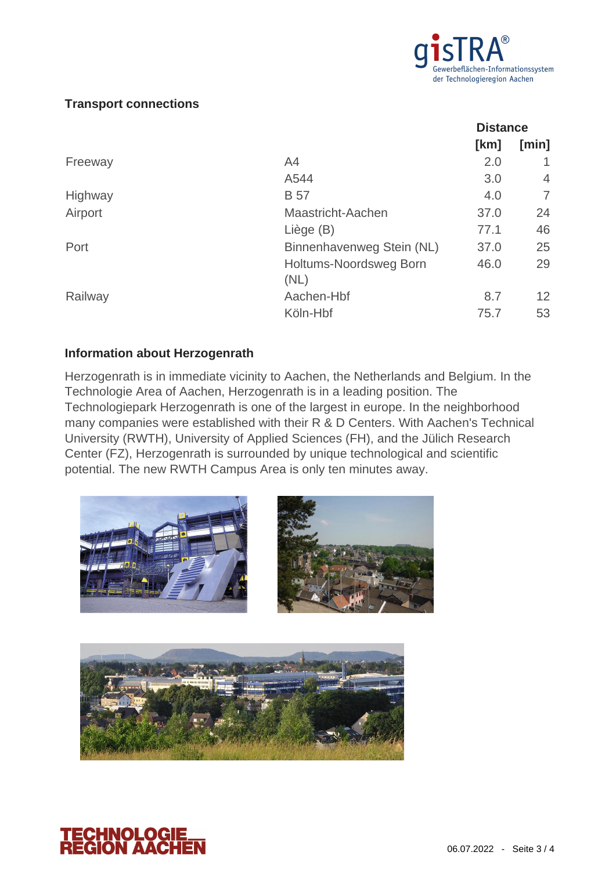

# **Transport connections**

|         |                               | <b>Distance</b> |                 |
|---------|-------------------------------|-----------------|-----------------|
|         |                               | [km]            | [min]           |
| Freeway | A4                            | 2.0             |                 |
|         | A544                          | 3.0             | $\overline{4}$  |
| Highway | <b>B</b> 57                   | 4.0             | 7               |
| Airport | Maastricht-Aachen             | 37.0            | 24              |
|         | Liège (B)                     | 77.1            | 46              |
| Port    | Binnenhavenweg Stein (NL)     | 37.0            | 25              |
|         | <b>Holtums-Noordsweg Born</b> | 46.0            | 29              |
|         | (NL)                          |                 |                 |
| Railway | Aachen-Hbf                    | 8.7             | 12 <sup>2</sup> |
|         | Köln-Hbf                      | 75.7            | 53              |

## **Information about Herzogenrath**

Herzogenrath is in immediate vicinity to Aachen, the Netherlands and Belgium. In the Technologie Area of Aachen, Herzogenrath is in a leading position. The Technologiepark Herzogenrath is one of the largest in europe. In the neighborhood many companies were established with their R & D Centers. With Aachen's Technical University (RWTH), University of Applied Sciences (FH), and the Jülich Research Center (FZ), Herzogenrath is surrounded by unique technological and scientific potential. The new RWTH Campus Area is only ten minutes away.